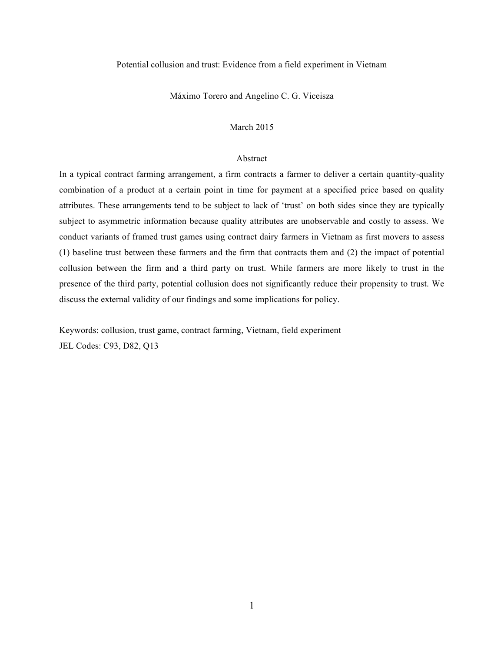### Potential collusion and trust: Evidence from a field experiment in Vietnam

Máximo Torero and Angelino C. G. Viceisza

# March 2015

# Abstract

In a typical contract farming arrangement, a firm contracts a farmer to deliver a certain quantity-quality combination of a product at a certain point in time for payment at a specified price based on quality attributes. These arrangements tend to be subject to lack of 'trust' on both sides since they are typically subject to asymmetric information because quality attributes are unobservable and costly to assess. We conduct variants of framed trust games using contract dairy farmers in Vietnam as first movers to assess (1) baseline trust between these farmers and the firm that contracts them and (2) the impact of potential collusion between the firm and a third party on trust. While farmers are more likely to trust in the presence of the third party, potential collusion does not significantly reduce their propensity to trust. We discuss the external validity of our findings and some implications for policy.

Keywords: collusion, trust game, contract farming, Vietnam, field experiment JEL Codes: C93, D82, Q13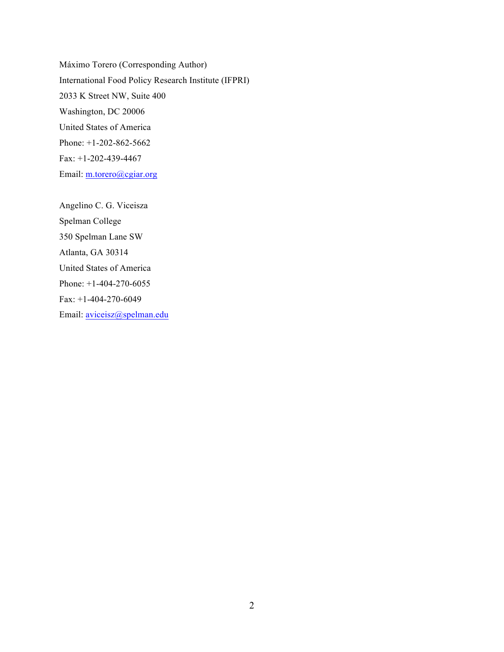Máximo Torero (Corresponding Author) International Food Policy Research Institute (IFPRI) 2033 K Street NW, Suite 400 Washington, DC 20006 United States of America Phone: +1-202-862-5662 Fax: +1-202-439-4467 Email: m.torero@cgiar.org

Angelino C. G. Viceisza Spelman College 350 Spelman Lane SW Atlanta, GA 30314 United States of America Phone: +1-404-270-6055 Fax: +1-404-270-6049 Email: aviceisz@spelman.edu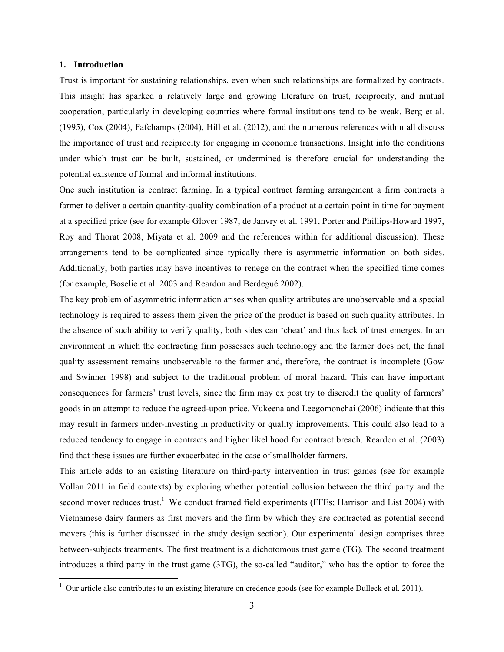### **1. Introduction**

Trust is important for sustaining relationships, even when such relationships are formalized by contracts. This insight has sparked a relatively large and growing literature on trust, reciprocity, and mutual cooperation, particularly in developing countries where formal institutions tend to be weak. Berg et al. (1995), Cox (2004), Fafchamps (2004), Hill et al. (2012), and the numerous references within all discuss the importance of trust and reciprocity for engaging in economic transactions. Insight into the conditions under which trust can be built, sustained, or undermined is therefore crucial for understanding the potential existence of formal and informal institutions.

One such institution is contract farming. In a typical contract farming arrangement a firm contracts a farmer to deliver a certain quantity-quality combination of a product at a certain point in time for payment at a specified price (see for example Glover 1987, de Janvry et al. 1991, Porter and Phillips-Howard 1997, Roy and Thorat 2008, Miyata et al. 2009 and the references within for additional discussion). These arrangements tend to be complicated since typically there is asymmetric information on both sides. Additionally, both parties may have incentives to renege on the contract when the specified time comes (for example, Boselie et al. 2003 and Reardon and Berdegué 2002).

The key problem of asymmetric information arises when quality attributes are unobservable and a special technology is required to assess them given the price of the product is based on such quality attributes. In the absence of such ability to verify quality, both sides can 'cheat' and thus lack of trust emerges. In an environment in which the contracting firm possesses such technology and the farmer does not, the final quality assessment remains unobservable to the farmer and, therefore, the contract is incomplete (Gow and Swinner 1998) and subject to the traditional problem of moral hazard. This can have important consequences for farmers' trust levels, since the firm may ex post try to discredit the quality of farmers' goods in an attempt to reduce the agreed-upon price. Vukeena and Leegomonchai (2006) indicate that this may result in farmers under-investing in productivity or quality improvements. This could also lead to a reduced tendency to engage in contracts and higher likelihood for contract breach. Reardon et al. (2003) find that these issues are further exacerbated in the case of smallholder farmers.

This article adds to an existing literature on third-party intervention in trust games (see for example Vollan 2011 in field contexts) by exploring whether potential collusion between the third party and the second mover reduces trust.<sup>1</sup> We conduct framed field experiments (FFEs; Harrison and List 2004) with Vietnamese dairy farmers as first movers and the firm by which they are contracted as potential second movers (this is further discussed in the study design section). Our experimental design comprises three between-subjects treatments. The first treatment is a dichotomous trust game (TG). The second treatment introduces a third party in the trust game (3TG), the so-called "auditor," who has the option to force the

 $1$  Our article also contributes to an existing literature on credence goods (see for example Dulleck et al. 2011).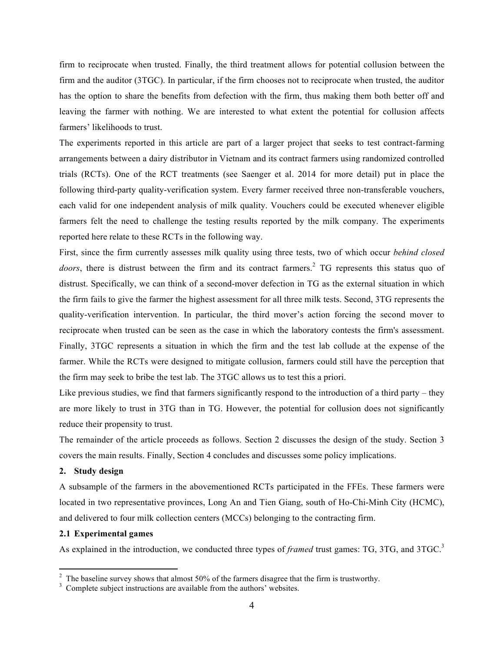firm to reciprocate when trusted. Finally, the third treatment allows for potential collusion between the firm and the auditor (3TGC). In particular, if the firm chooses not to reciprocate when trusted, the auditor has the option to share the benefits from defection with the firm, thus making them both better off and leaving the farmer with nothing. We are interested to what extent the potential for collusion affects farmers' likelihoods to trust.

The experiments reported in this article are part of a larger project that seeks to test contract-farming arrangements between a dairy distributor in Vietnam and its contract farmers using randomized controlled trials (RCTs). One of the RCT treatments (see Saenger et al. 2014 for more detail) put in place the following third-party quality-verification system. Every farmer received three non-transferable vouchers, each valid for one independent analysis of milk quality. Vouchers could be executed whenever eligible farmers felt the need to challenge the testing results reported by the milk company. The experiments reported here relate to these RCTs in the following way.

First, since the firm currently assesses milk quality using three tests, two of which occur *behind closed doors*, there is distrust between the firm and its contract farmers.<sup>2</sup> TG represents this status quo of distrust. Specifically, we can think of a second-mover defection in TG as the external situation in which the firm fails to give the farmer the highest assessment for all three milk tests. Second, 3TG represents the quality-verification intervention. In particular, the third mover's action forcing the second mover to reciprocate when trusted can be seen as the case in which the laboratory contests the firm's assessment. Finally, 3TGC represents a situation in which the firm and the test lab collude at the expense of the farmer. While the RCTs were designed to mitigate collusion, farmers could still have the perception that the firm may seek to bribe the test lab. The 3TGC allows us to test this a priori.

Like previous studies, we find that farmers significantly respond to the introduction of a third party – they are more likely to trust in 3TG than in TG. However, the potential for collusion does not significantly reduce their propensity to trust.

The remainder of the article proceeds as follows. Section 2 discusses the design of the study. Section 3 covers the main results. Finally, Section 4 concludes and discusses some policy implications.

## **2. Study design**

A subsample of the farmers in the abovementioned RCTs participated in the FFEs. These farmers were located in two representative provinces, Long An and Tien Giang, south of Ho-Chi-Minh City (HCMC), and delivered to four milk collection centers (MCCs) belonging to the contracting firm.

## **2.1 Experimental games**

As explained in the introduction, we conducted three types of *framed* trust games: TG, 3TG, and 3TGC.<sup>3</sup>

 $\frac{2}{3}$  The baseline survey shows that almost 50% of the farmers disagree that the firm is trustworthy.<br> $\frac{3}{3}$  Complete subject instructions are available from the authors' websites.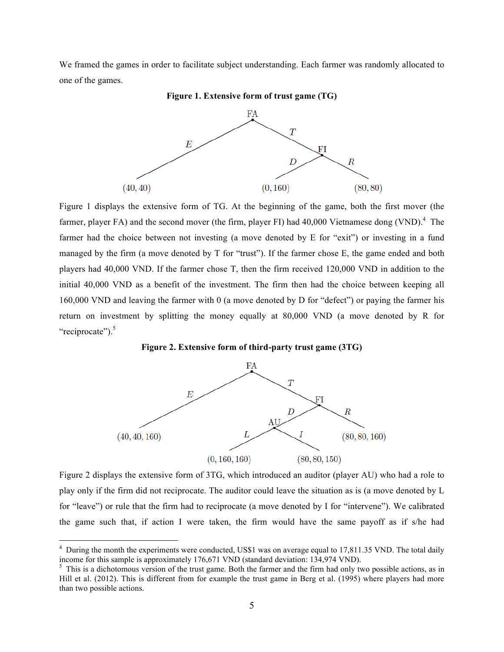We framed the games in order to facilitate subject understanding. Each farmer was randomly allocated to one of the games.



**Figure 1. Extensive form of trust game (TG)**

Figure 1 displays the extensive form of TG. At the beginning of the game, both the first mover (the farmer, player FA) and the second mover (the firm, player FI) had 40,000 Vietnamese dong (VND).<sup>4</sup> The farmer had the choice between not investing (a move denoted by E for "exit") or investing in a fund managed by the firm (a move denoted by T for "trust"). If the farmer chose E, the game ended and both players had 40,000 VND. If the farmer chose T, then the firm received 120,000 VND in addition to the initial 40,000 VND as a benefit of the investment. The firm then had the choice between keeping all 160,000 VND and leaving the farmer with 0 (a move denoted by D for "defect") or paying the farmer his return on investment by splitting the money equally at 80,000 VND (a move denoted by R for "reciprocate").<sup>5</sup>





Figure 2 displays the extensive form of 3TG, which introduced an auditor (player AU) who had a role to play only if the firm did not reciprocate. The auditor could leave the situation as is (a move denoted by L for "leave") or rule that the firm had to reciprocate (a move denoted by I for "intervene"). We calibrated the game such that, if action I were taken, the firm would have the same payoff as if s/he had

<sup>&</sup>lt;sup>4</sup> During the month the experiments were conducted, US\$1 was on average equal to 17,811.35 VND. The total daily income for this sample is approximately 176,671 VND (standard deviation: 134,974 VND).

<sup>&</sup>lt;sup>5</sup> This is a dichotomous version of the trust game. Both the farmer and the firm had only two possible actions, as in Hill et al. (2012). This is different from for example the trust game in Berg et al. (1995) where players had more than two possible actions.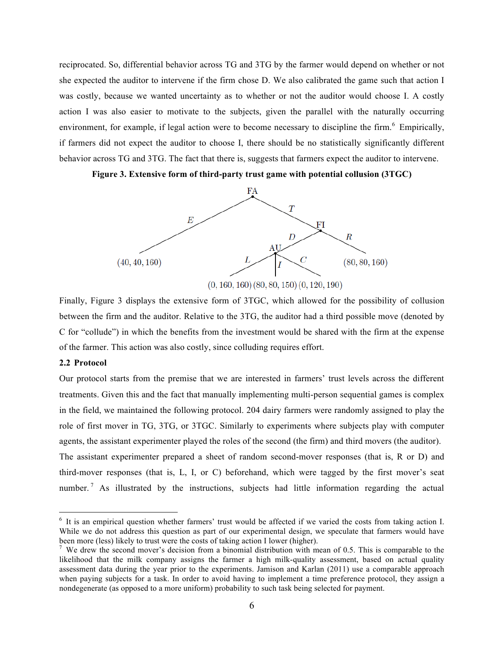reciprocated. So, differential behavior across TG and 3TG by the farmer would depend on whether or not she expected the auditor to intervene if the firm chose D. We also calibrated the game such that action I was costly, because we wanted uncertainty as to whether or not the auditor would choose I. A costly action I was also easier to motivate to the subjects, given the parallel with the naturally occurring environment, for example, if legal action were to become necessary to discipline the firm.<sup>6</sup> Empirically, if farmers did not expect the auditor to choose I, there should be no statistically significantly different behavior across TG and 3TG. The fact that there is, suggests that farmers expect the auditor to intervene.

**Figure 3. Extensive form of third-party trust game with potential collusion (3TGC)**



Finally, Figure 3 displays the extensive form of 3TGC, which allowed for the possibility of collusion between the firm and the auditor. Relative to the 3TG, the auditor had a third possible move (denoted by C for "collude") in which the benefits from the investment would be shared with the firm at the expense of the farmer. This action was also costly, since colluding requires effort.

### **2.2 Protocol**

Our protocol starts from the premise that we are interested in farmers' trust levels across the different treatments. Given this and the fact that manually implementing multi-person sequential games is complex in the field, we maintained the following protocol. 204 dairy farmers were randomly assigned to play the role of first mover in TG, 3TG, or 3TGC. Similarly to experiments where subjects play with computer agents, the assistant experimenter played the roles of the second (the firm) and third movers (the auditor). The assistant experimenter prepared a sheet of random second-mover responses (that is, R or D) and third-mover responses (that is, L, I, or C) beforehand, which were tagged by the first mover's seat number.<sup>7</sup> As illustrated by the instructions, subjects had little information regarding the actual

 <sup>6</sup> It is an empirical question whether farmers' trust would be affected if we varied the costs from taking action I. While we do not address this question as part of our experimental design, we speculate that farmers would have been more (less) likely to trust were the costs of taking action I lower (higher).

<sup>&</sup>lt;sup>7</sup> We drew the second mover's decision from a binomial distribution with mean of 0.5. This is comparable to the likelihood that the milk company assigns the farmer a high milk-quality assessment, based on actual quality assessment data during the year prior to the experiments. Jamison and Karlan (2011) use a comparable approach when paying subjects for a task. In order to avoid having to implement a time preference protocol, they assign a nondegenerate (as opposed to a more uniform) probability to such task being selected for payment.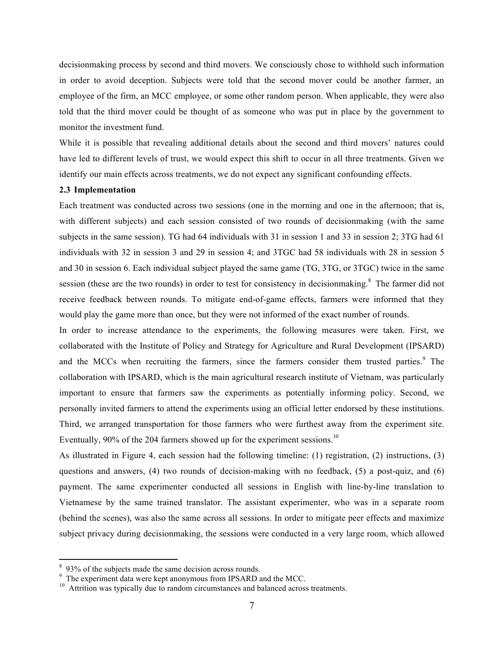decisionmaking process by second and third movers. We consciously chose to withhold such information in order to avoid deception. Subjects were told that the second mover could be another farmer, an employee of the firm, an MCC employee, or some other random person. When applicable, they were also told that the third mover could be thought of as someone who was put in place by the government to monitor the investment fund.

While it is possible that revealing additional details about the second and third movers' natures could have led to different levels of trust, we would expect this shift to occur in all three treatments. Given we identify our main effects across treatments, we do not expect any significant confounding effects.

## **2.3 Implementation**

Each treatment was conducted across two sessions (one in the morning and one in the afternoon; that is, with different subjects) and each session consisted of two rounds of decisionmaking (with the same subjects in the same session). TG had 64 individuals with 31 in session 1 and 33 in session 2; 3TG had 61 individuals with 32 in session 3 and 29 in session 4; and 3TGC had 58 individuals with 28 in session 5 and 30 in session 6. Each individual subject played the same game (TG, 3TG, or 3TGC) twice in the same session (these are the two rounds) in order to test for consistency in decisionmaking.<sup>8</sup> The farmer did not receive feedback between rounds. To mitigate end-of-game effects, farmers were informed that they would play the game more than once, but they were not informed of the exact number of rounds.

In order to increase attendance to the experiments, the following measures were taken. First, we collaborated with the Institute of Policy and Strategy for Agriculture and Rural Development (IPSARD) and the MCCs when recruiting the farmers, since the farmers consider them trusted parties.<sup>9</sup> The collaboration with IPSARD, which is the main agricultural research institute of Vietnam, was particularly important to ensure that farmers saw the experiments as potentially informing policy. Second, we personally invited farmers to attend the experiments using an official letter endorsed by these institutions. Third, we arranged transportation for those farmers who were furthest away from the experiment site. Eventually, 90% of the 204 farmers showed up for the experiment sessions.<sup>10</sup>

As illustrated in Figure 4, each session had the following timeline: (1) registration, (2) instructions, (3) questions and answers,  $(4)$  two rounds of decision-making with no feedback,  $(5)$  a post-quiz, and  $(6)$ payment. The same experimenter conducted all sessions in English with line-by-line translation to Vietnamese by the same trained translator. The assistant experimenter, who was in a separate room (behind the scenes), was also the same across all sessions. In order to mitigate peer effects and maximize subject privacy during decisionmaking, the sessions were conducted in a very large room, which allowed

<sup>&</sup>lt;sup>8</sup> 93% of the subjects made the same decision across rounds.<br><sup>9</sup> The experiment data were kept anonymous from IPSARD and the MCC.<br><sup>10</sup> Attrition was typically due to random circumstances and balanced across treatments.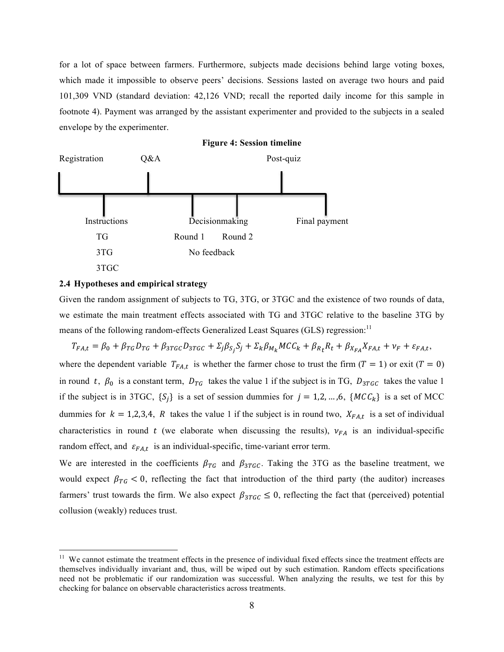for a lot of space between farmers. Furthermore, subjects made decisions behind large voting boxes, which made it impossible to observe peers' decisions. Sessions lasted on average two hours and paid 101,309 VND (standard deviation: 42,126 VND; recall the reported daily income for this sample in footnote 4). Payment was arranged by the assistant experimenter and provided to the subjects in a sealed envelope by the experimenter.



### **2.4 Hypotheses and empirical strategy**

Given the random assignment of subjects to TG, 3TG, or 3TGC and the existence of two rounds of data, we estimate the main treatment effects associated with TG and 3TGC relative to the baseline 3TG by means of the following random-effects Generalized Least Squares (GLS) regression:<sup>11</sup>

 $T_{FA,t} = \beta_0 + \beta_{TG} D_{TG} + \beta_{3TGC} D_{3TGC} + \Sigma_j \beta_{S_j} S_j + \Sigma_k \beta_{M_k} M C C_k + \beta_{R_t} R_t + \beta_{X_{FA}} X_{FA,t} + \nu_F + \varepsilon_{FA,t}$ 

where the dependent variable  $T_{FA,t}$  is whether the farmer chose to trust the firm  $(T = 1)$  or exit  $(T = 0)$ in round t,  $\beta_0$  is a constant term,  $D_{TG}$  takes the value 1 if the subject is in TG,  $D_{3TGC}$  takes the value 1 if the subject is in 3TGC,  $\{S_i\}$  is a set of session dummies for  $j = 1, 2, ..., 6$ ,  $\{MCC_k\}$  is a set of MCC dummies for  $k = 1,2,3,4$ , R takes the value 1 if the subject is in round two,  $X_{FA,t}$  is a set of individual characteristics in round t (we elaborate when discussing the results),  $v_{FA}$  is an individual-specific random effect, and  $\varepsilon_{FA,t}$  is an individual-specific, time-variant error term.

We are interested in the coefficients  $\beta_{TG}$  and  $\beta_{3TGC}$ . Taking the 3TG as the baseline treatment, we would expect  $\beta_{TG} < 0$ , reflecting the fact that introduction of the third party (the auditor) increases farmers' trust towards the firm. We also expect  $\beta_{3TGC} \leq 0$ , reflecting the fact that (perceived) potential collusion (weakly) reduces trust.

<sup>&</sup>lt;sup>11</sup> We cannot estimate the treatment effects in the presence of individual fixed effects since the treatment effects are themselves individually invariant and, thus, will be wiped out by such estimation. Random effects specifications need not be problematic if our randomization was successful. When analyzing the results, we test for this by checking for balance on observable characteristics across treatments.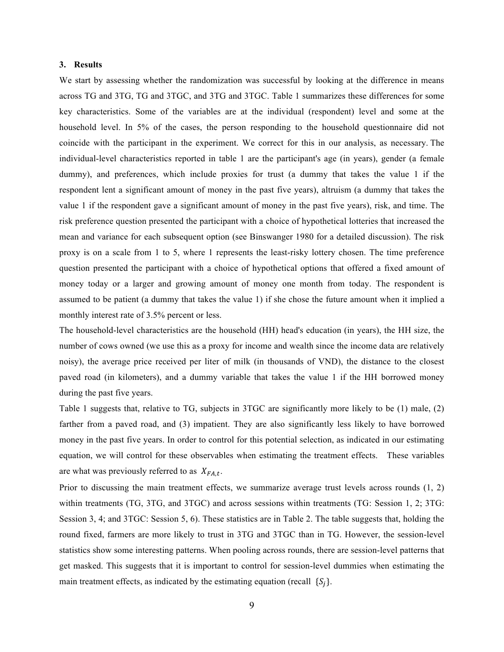### **3. Results**

We start by assessing whether the randomization was successful by looking at the difference in means across TG and 3TG, TG and 3TGC, and 3TG and 3TGC. Table 1 summarizes these differences for some key characteristics. Some of the variables are at the individual (respondent) level and some at the household level. In 5% of the cases, the person responding to the household questionnaire did not coincide with the participant in the experiment. We correct for this in our analysis, as necessary. The individual-level characteristics reported in table 1 are the participant's age (in years), gender (a female dummy), and preferences, which include proxies for trust (a dummy that takes the value 1 if the respondent lent a significant amount of money in the past five years), altruism (a dummy that takes the value 1 if the respondent gave a significant amount of money in the past five years), risk, and time. The risk preference question presented the participant with a choice of hypothetical lotteries that increased the mean and variance for each subsequent option (see Binswanger 1980 for a detailed discussion). The risk proxy is on a scale from 1 to 5, where 1 represents the least-risky lottery chosen. The time preference question presented the participant with a choice of hypothetical options that offered a fixed amount of money today or a larger and growing amount of money one month from today. The respondent is assumed to be patient (a dummy that takes the value 1) if she chose the future amount when it implied a monthly interest rate of 3.5% percent or less.

The household-level characteristics are the household (HH) head's education (in years), the HH size, the number of cows owned (we use this as a proxy for income and wealth since the income data are relatively noisy), the average price received per liter of milk (in thousands of VND), the distance to the closest paved road (in kilometers), and a dummy variable that takes the value 1 if the HH borrowed money during the past five years.

Table 1 suggests that, relative to TG, subjects in 3TGC are significantly more likely to be (1) male, (2) farther from a paved road, and (3) impatient. They are also significantly less likely to have borrowed money in the past five years. In order to control for this potential selection, as indicated in our estimating equation, we will control for these observables when estimating the treatment effects. These variables are what was previously referred to as  $X_{FA,t}$ .

Prior to discussing the main treatment effects, we summarize average trust levels across rounds (1, 2) within treatments (TG, 3TG, and 3TGC) and across sessions within treatments (TG: Session 1, 2; 3TG: Session 3, 4; and 3TGC: Session 5, 6). These statistics are in Table 2. The table suggests that, holding the round fixed, farmers are more likely to trust in 3TG and 3TGC than in TG. However, the session-level statistics show some interesting patterns. When pooling across rounds, there are session-level patterns that get masked. This suggests that it is important to control for session-level dummies when estimating the main treatment effects, as indicated by the estimating equation (recall  $\{S_i\}$ ).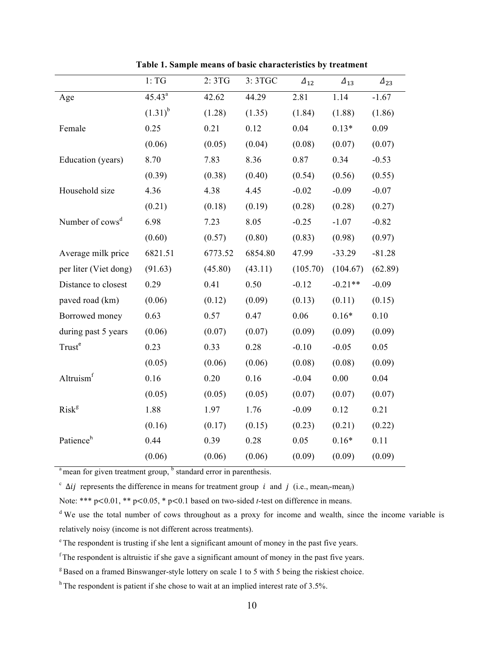|                             | 1: TG        | 2:3TG   | 3:3TGC  | $\varDelta_{12}$ | $\varDelta_{13}$ | $\varDelta_{23}$ |
|-----------------------------|--------------|---------|---------|------------------|------------------|------------------|
| Age                         | $45.43^a$    | 42.62   | 44.29   | 2.81             | 1.14             | $-1.67$          |
|                             | $(1.31)^{b}$ | (1.28)  | (1.35)  | (1.84)           | (1.88)           | (1.86)           |
| Female                      | 0.25         | 0.21    | 0.12    | 0.04             | $0.13*$          | 0.09             |
|                             | (0.06)       | (0.05)  | (0.04)  | (0.08)           | (0.07)           | (0.07)           |
| Education (years)           | 8.70         | 7.83    | 8.36    | 0.87             | 0.34             | $-0.53$          |
|                             | (0.39)       | (0.38)  | (0.40)  | (0.54)           | (0.56)           | (0.55)           |
| Household size              | 4.36         | 4.38    | 4.45    | $-0.02$          | $-0.09$          | $-0.07$          |
|                             | (0.21)       | (0.18)  | (0.19)  | (0.28)           | (0.28)           | (0.27)           |
| Number of cows <sup>d</sup> | 6.98         | 7.23    | 8.05    | $-0.25$          | $-1.07$          | $-0.82$          |
|                             | (0.60)       | (0.57)  | (0.80)  | (0.83)           | (0.98)           | (0.97)           |
| Average milk price          | 6821.51      | 6773.52 | 6854.80 | 47.99            | $-33.29$         | $-81.28$         |
| per liter (Viet dong)       | (91.63)      | (45.80) | (43.11) | (105.70)         | (104.67)         | (62.89)          |
| Distance to closest         | 0.29         | 0.41    | 0.50    | $-0.12$          | $-0.21**$        | $-0.09$          |
| paved road (km)             | (0.06)       | (0.12)  | (0.09)  | (0.13)           | (0.11)           | (0.15)           |
| Borrowed money              | 0.63         | 0.57    | 0.47    | 0.06             | $0.16*$          | 0.10             |
| during past 5 years         | (0.06)       | (0.07)  | (0.07)  | (0.09)           | (0.09)           | (0.09)           |
| Trust <sup>e</sup>          | 0.23         | 0.33    | 0.28    | $-0.10$          | $-0.05$          | 0.05             |
|                             | (0.05)       | (0.06)  | (0.06)  | (0.08)           | (0.08)           | (0.09)           |
| Altruism <sup>f</sup>       | 0.16         | 0.20    | 0.16    | $-0.04$          | 0.00             | 0.04             |
|                             | (0.05)       | (0.05)  | (0.05)  | (0.07)           | (0.07)           | (0.07)           |
| Risk <sup>g</sup>           | 1.88         | 1.97    | 1.76    | $-0.09$          | 0.12             | 0.21             |
|                             | (0.16)       | (0.17)  | (0.15)  | (0.23)           | (0.21)           | (0.22)           |
| Patience <sup>h</sup>       | 0.44         | 0.39    | 0.28    | 0.05             | $0.16*$          | 0.11             |
|                             | (0.06)       | (0.06)  | (0.06)  | (0.09)           | (0.09)           | (0.09)           |

**Table 1. Sample means of basic characteristics by treatment**

 $a<sup>b</sup>$  mean for given treatment group,  $b<sup>b</sup>$  standard error in parenthesis.

<sup>c</sup>  $\Delta ij$  represents the difference in means for treatment group *i* and *j* (i.e., mean<sub>*i*</sub>-mean<sub>*i*</sub>)

Note: \*\*\* p<0.01, \*\* p<0.05, \* p<0.1 based on two-sided *t*-test on difference in means.

<sup>d</sup> We use the total number of cows throughout as a proxy for income and wealth, since the income variable is relatively noisy (income is not different across treatments).

<sup>e</sup> The respondent is trusting if she lent a significant amount of money in the past five years.

 $f$ The respondent is altruistic if she gave a significant amount of money in the past five years.

<sup>g</sup> Based on a framed Binswanger-style lottery on scale 1 to 5 with 5 being the riskiest choice.

 $h$ <sup>h</sup> The respondent is patient if she chose to wait at an implied interest rate of 3.5%.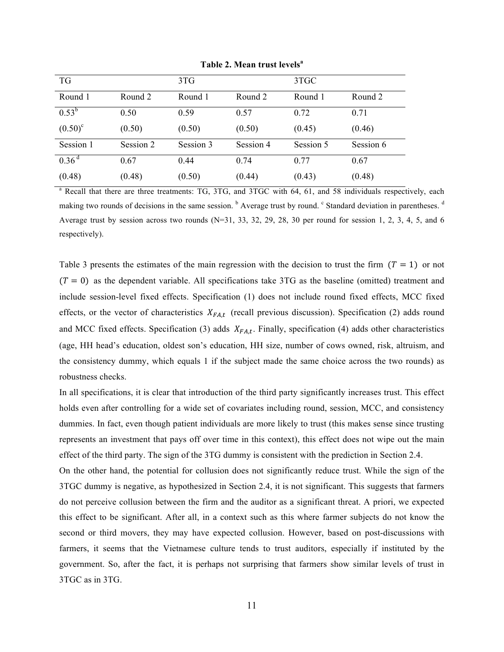| <b>TG</b>         |           | 3TG       |           | 3TGC      |           |
|-------------------|-----------|-----------|-----------|-----------|-----------|
| Round 1           | Round 2   | Round 1   | Round 2   | Round 1   | Round 2   |
| $0.53^b$          | 0.50      | 0.59      | 0.57      | 0.72      | 0.71      |
| $(0.50)^c$        | (0.50)    | (0.50)    | (0.50)    | (0.45)    | (0.46)    |
| Session 1         | Session 2 | Session 3 | Session 4 | Session 5 | Session 6 |
| 0.36 <sup>d</sup> | 0.67      | 0.44      | 0.74      | 0.77      | 0.67      |
| (0.48)            | (0.48)    | (0.50)    | (0.44)    | (0.43)    | (0.48)    |

**Table 2. Mean trust levels<sup>a</sup>**

<sup>a</sup> Recall that there are three treatments: TG, 3TG, and 3TGC with 64, 61, and 58 individuals respectively, each making two rounds of decisions in the same session. <sup>b</sup> Average trust by round. <sup>c</sup> Standard deviation in parentheses. <sup>d</sup> Average trust by session across two rounds (N=31, 33, 32, 29, 28, 30 per round for session 1, 2, 3, 4, 5, and 6 respectively).

Table 3 presents the estimates of the main regression with the decision to trust the firm  $(T = 1)$  or not  $(T = 0)$  as the dependent variable. All specifications take 3TG as the baseline (omitted) treatment and include session-level fixed effects. Specification (1) does not include round fixed effects, MCC fixed effects, or the vector of characteristics  $X_{FA,t}$  (recall previous discussion). Specification (2) adds round and MCC fixed effects. Specification (3) adds  $X_{FA,t}$ . Finally, specification (4) adds other characteristics (age, HH head's education, oldest son's education, HH size, number of cows owned, risk, altruism, and the consistency dummy, which equals 1 if the subject made the same choice across the two rounds) as robustness checks.

In all specifications, it is clear that introduction of the third party significantly increases trust. This effect holds even after controlling for a wide set of covariates including round, session, MCC, and consistency dummies. In fact, even though patient individuals are more likely to trust (this makes sense since trusting represents an investment that pays off over time in this context), this effect does not wipe out the main effect of the third party. The sign of the 3TG dummy is consistent with the prediction in Section 2.4.

On the other hand, the potential for collusion does not significantly reduce trust. While the sign of the 3TGC dummy is negative, as hypothesized in Section 2.4, it is not significant. This suggests that farmers do not perceive collusion between the firm and the auditor as a significant threat. A priori, we expected this effect to be significant. After all, in a context such as this where farmer subjects do not know the second or third movers, they may have expected collusion. However, based on post-discussions with farmers, it seems that the Vietnamese culture tends to trust auditors, especially if instituted by the government. So, after the fact, it is perhaps not surprising that farmers show similar levels of trust in 3TGC as in 3TG.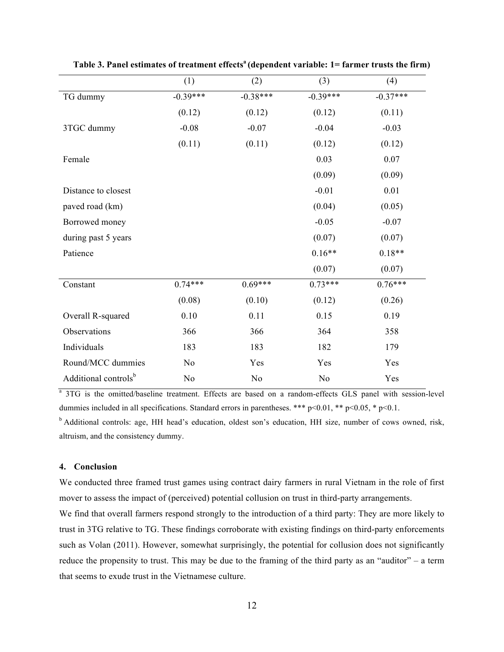|                                  | (1)            | (2)        | (3)            | (4)        |
|----------------------------------|----------------|------------|----------------|------------|
| TG dummy                         | $-0.39***$     | $-0.38***$ | $-0.39***$     | $-0.37***$ |
|                                  | (0.12)         | (0.12)     | (0.12)         | (0.11)     |
| 3TGC dummy                       | $-0.08$        | $-0.07$    | $-0.04$        | $-0.03$    |
|                                  | (0.11)         | (0.11)     | (0.12)         | (0.12)     |
| Female                           |                |            | 0.03           | 0.07       |
|                                  |                |            | (0.09)         | (0.09)     |
| Distance to closest              |                |            | $-0.01$        | 0.01       |
| paved road (km)                  |                |            | (0.04)         | (0.05)     |
| Borrowed money                   |                |            | $-0.05$        | $-0.07$    |
| during past 5 years              |                |            | (0.07)         | (0.07)     |
| Patience                         |                |            | $0.16**$       | $0.18**$   |
|                                  |                |            | (0.07)         | (0.07)     |
| Constant                         | $0.74***$      | $0.69***$  | $0.73***$      | $0.76***$  |
|                                  | (0.08)         | (0.10)     | (0.12)         | (0.26)     |
| Overall R-squared                | 0.10           | 0.11       | 0.15           | 0.19       |
| Observations                     | 366            | 366        | 364            | 358        |
| Individuals                      | 183            | 183        | 182            | 179        |
| Round/MCC dummies                | N <sub>o</sub> | Yes        | Yes            | Yes        |
| Additional controls <sup>b</sup> | No             | No         | N <sub>o</sub> | Yes        |

**Table 3. Panel estimates of treatment effectsa (dependent variable: 1= farmer trusts the firm)**

<sup>a</sup> 3TG is the omitted/baseline treatment. Effects are based on a random-effects GLS panel with session-level dummies included in all specifications. Standard errors in parentheses. \*\*\*  $p<0.01$ , \*\*  $p<0.05$ , \*  $p<0.1$ .

b Additional controls: age, HH head's education, oldest son's education, HH size, number of cows owned, risk, altruism, and the consistency dummy.

# **4. Conclusion**

We conducted three framed trust games using contract dairy farmers in rural Vietnam in the role of first mover to assess the impact of (perceived) potential collusion on trust in third-party arrangements.

We find that overall farmers respond strongly to the introduction of a third party: They are more likely to trust in 3TG relative to TG. These findings corroborate with existing findings on third-party enforcements such as Volan (2011). However, somewhat surprisingly, the potential for collusion does not significantly reduce the propensity to trust. This may be due to the framing of the third party as an "auditor" – a term that seems to exude trust in the Vietnamese culture.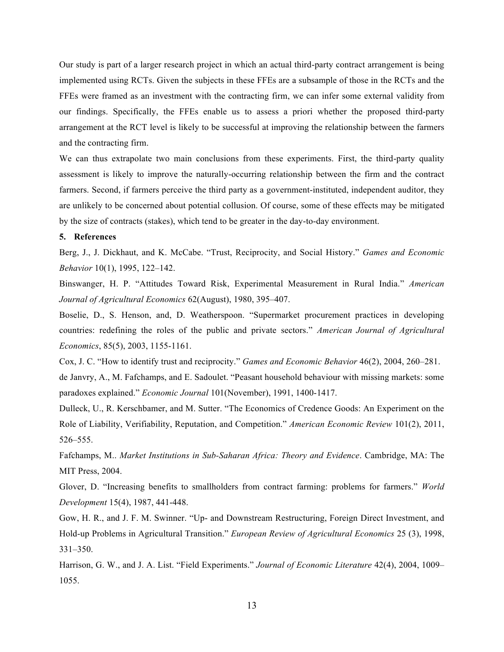Our study is part of a larger research project in which an actual third-party contract arrangement is being implemented using RCTs. Given the subjects in these FFEs are a subsample of those in the RCTs and the FFEs were framed as an investment with the contracting firm, we can infer some external validity from our findings. Specifically, the FFEs enable us to assess a priori whether the proposed third-party arrangement at the RCT level is likely to be successful at improving the relationship between the farmers and the contracting firm.

We can thus extrapolate two main conclusions from these experiments. First, the third-party quality assessment is likely to improve the naturally-occurring relationship between the firm and the contract farmers. Second, if farmers perceive the third party as a government-instituted, independent auditor, they are unlikely to be concerned about potential collusion. Of course, some of these effects may be mitigated by the size of contracts (stakes), which tend to be greater in the day-to-day environment.

## **5. References**

Berg, J., J. Dickhaut, and K. McCabe. "Trust, Reciprocity, and Social History." *Games and Economic Behavior* 10(1), 1995, 122–142.

Binswanger, H. P. "Attitudes Toward Risk, Experimental Measurement in Rural India." *American Journal of Agricultural Economics* 62(August), 1980, 395–407.

Boselie, D., S. Henson, and, D. Weatherspoon. "Supermarket procurement practices in developing countries: redefining the roles of the public and private sectors." *American Journal of Agricultural Economics*, 85(5), 2003, 1155-1161.

Cox, J. C. "How to identify trust and reciprocity." *Games and Economic Behavior* 46(2), 2004, 260–281.

de Janvry, A., M. Fafchamps, and E. Sadoulet. "Peasant household behaviour with missing markets: some paradoxes explained." *Economic Journal* 101(November), 1991, 1400-1417.

Dulleck, U., R. Kerschbamer, and M. Sutter. "The Economics of Credence Goods: An Experiment on the Role of Liability, Verifiability, Reputation, and Competition." *American Economic Review* 101(2), 2011, 526–555.

Fafchamps, M.. *Market Institutions in Sub-Saharan Africa: Theory and Evidence*. Cambridge, MA: The MIT Press, 2004.

Glover, D. "Increasing benefits to smallholders from contract farming: problems for farmers." *World Development* 15(4), 1987, 441-448.

Gow, H. R., and J. F. M. Swinner. "Up- and Downstream Restructuring, Foreign Direct Investment, and Hold-up Problems in Agricultural Transition." *European Review of Agricultural Economics* 25 (3), 1998, 331–350.

Harrison, G. W., and J. A. List. "Field Experiments." *Journal of Economic Literature* 42(4), 2004, 1009– 1055.